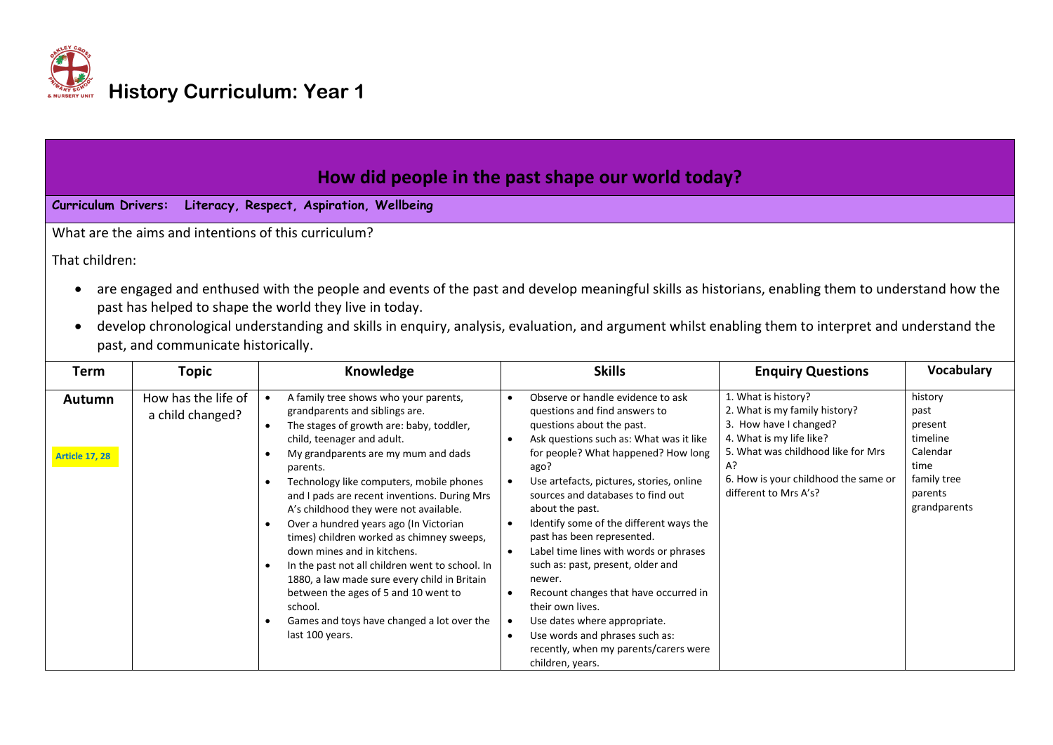

| How did people in the past shape our world today?<br><b>Curriculum Drivers:</b><br>Literacy, Respect, Aspiration, Wellbeing                                                                                                                                                                                                                                                                                          |                                         |                                                                                                                                                                                                                                                  |                                                                                                                                                                                                                                       |                                                                                                                                                                                                |                                                                           |  |  |  |  |
|----------------------------------------------------------------------------------------------------------------------------------------------------------------------------------------------------------------------------------------------------------------------------------------------------------------------------------------------------------------------------------------------------------------------|-----------------------------------------|--------------------------------------------------------------------------------------------------------------------------------------------------------------------------------------------------------------------------------------------------|---------------------------------------------------------------------------------------------------------------------------------------------------------------------------------------------------------------------------------------|------------------------------------------------------------------------------------------------------------------------------------------------------------------------------------------------|---------------------------------------------------------------------------|--|--|--|--|
| What are the aims and intentions of this curriculum?                                                                                                                                                                                                                                                                                                                                                                 |                                         |                                                                                                                                                                                                                                                  |                                                                                                                                                                                                                                       |                                                                                                                                                                                                |                                                                           |  |  |  |  |
|                                                                                                                                                                                                                                                                                                                                                                                                                      |                                         |                                                                                                                                                                                                                                                  |                                                                                                                                                                                                                                       |                                                                                                                                                                                                |                                                                           |  |  |  |  |
| That children:                                                                                                                                                                                                                                                                                                                                                                                                       |                                         |                                                                                                                                                                                                                                                  |                                                                                                                                                                                                                                       |                                                                                                                                                                                                |                                                                           |  |  |  |  |
| are engaged and enthused with the people and events of the past and develop meaningful skills as historians, enabling them to understand how the<br>past has helped to shape the world they live in today.<br>develop chronological understanding and skills in enquiry, analysis, evaluation, and argument whilst enabling them to interpret and understand the<br>$\bullet$<br>past, and communicate historically. |                                         |                                                                                                                                                                                                                                                  |                                                                                                                                                                                                                                       |                                                                                                                                                                                                |                                                                           |  |  |  |  |
| Term                                                                                                                                                                                                                                                                                                                                                                                                                 | Topic                                   | Knowledge                                                                                                                                                                                                                                        | <b>Skills</b>                                                                                                                                                                                                                         | <b>Enquiry Questions</b>                                                                                                                                                                       | <b>Vocabulary</b>                                                         |  |  |  |  |
| Autumn<br><b>Article 17, 28</b>                                                                                                                                                                                                                                                                                                                                                                                      | How has the life of<br>a child changed? | A family tree shows who your parents,<br>grandparents and siblings are.<br>The stages of growth are: baby, toddler,<br>child, teenager and adult.<br>My grandparents are my mum and dads<br>parents.<br>Technology like computers, mobile phones | Observe or handle evidence to ask<br>questions and find answers to<br>questions about the past.<br>Ask questions such as: What was it like<br>for people? What happened? How long<br>ago?<br>Use artefacts, pictures, stories, online | 1. What is history?<br>2. What is my family history?<br>3. How have I changed?<br>4. What is my life like?<br>5. What was childhood like for Mrs<br>A?<br>6. How is your childhood the same or | history<br>past<br>present<br>timeline<br>Calendar<br>time<br>family tree |  |  |  |  |

|  | <b>TECHNOLOGY TIME COMPUTERS, MODIFIE DITIONS</b><br>and I pads are recent inventions. During Mrs<br>A's childhood they were not available. | OSE arteracts, pictures, stories, orimie<br>sources and databases to find out<br>about the past. | different to Mrs A's? | parents<br>grandparents |
|--|---------------------------------------------------------------------------------------------------------------------------------------------|--------------------------------------------------------------------------------------------------|-----------------------|-------------------------|
|  | Over a hundred years ago (In Victorian<br>times) children worked as chimney sweeps,                                                         | Identify some of the different ways the<br>past has been represented.                            |                       |                         |
|  | down mines and in kitchens.                                                                                                                 | Label time lines with words or phrases                                                           |                       |                         |
|  | In the past not all children went to school. In                                                                                             | such as: past, present, older and                                                                |                       |                         |
|  | 1880, a law made sure every child in Britain                                                                                                | newer.                                                                                           |                       |                         |
|  | between the ages of 5 and 10 went to                                                                                                        | Recount changes that have occurred in                                                            |                       |                         |
|  | school.                                                                                                                                     | their own lives.                                                                                 |                       |                         |
|  | Games and toys have changed a lot over the                                                                                                  | Use dates where appropriate.                                                                     |                       |                         |
|  | last 100 years.                                                                                                                             | Use words and phrases such as:                                                                   |                       |                         |
|  |                                                                                                                                             | recently, when my parents/carers were                                                            |                       |                         |
|  |                                                                                                                                             | children, years.                                                                                 |                       |                         |